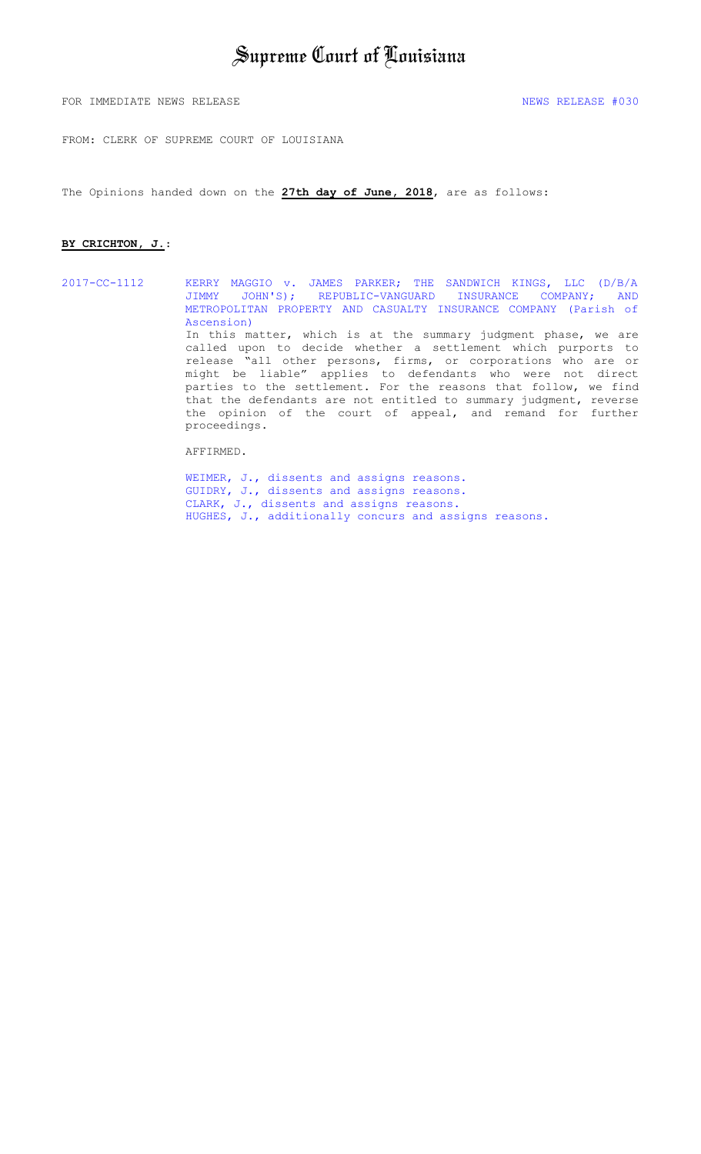FOR IMMEDIATE NEWS RELEASE  $\overline{1030}$ 

FROM: CLERK OF SUPREME COURT OF LOUISIANA

The Opinions handed down on the **27th day of June, 2018**, are as follows:

#### **BY CRICHTON, J.**:

2017-CC-1112 KERRY MAGGIO v. JAMES PARKER; THE SANDWICH KINGS, LLC (D/B/A JIMMY JOHN'S); REPUBLIC-VANGUARD INSURANCE COMPANY; AND [METROPOLITAN PROPERTY AND CASUALTY INSURANCE COMPANY \(Parish of](#page-1-0)  Ascension) In this matter, which is at the summary judgment phase, we are called upon to decide whether a settlement which purports to release "all other persons, firms, or corporations who are or might be liable" applies to defendants who were not direct parties to the settlement. For the reasons that follow, we find that the defendants are not entitled to summary judgment, reverse the opinion of the court of appeal, and remand for further proceedings.

AFFIRMED.

[WEIMER, J., dissents and assigns reasons.](#page-9-0) [GUIDRY, J., dissents and assigns reasons.](#page-14-0) [CLARK, J., dissents and assigns reasons.](#page-15-0) [HUGHES, J., additionally concurs and assigns reasons.](#page-19-0)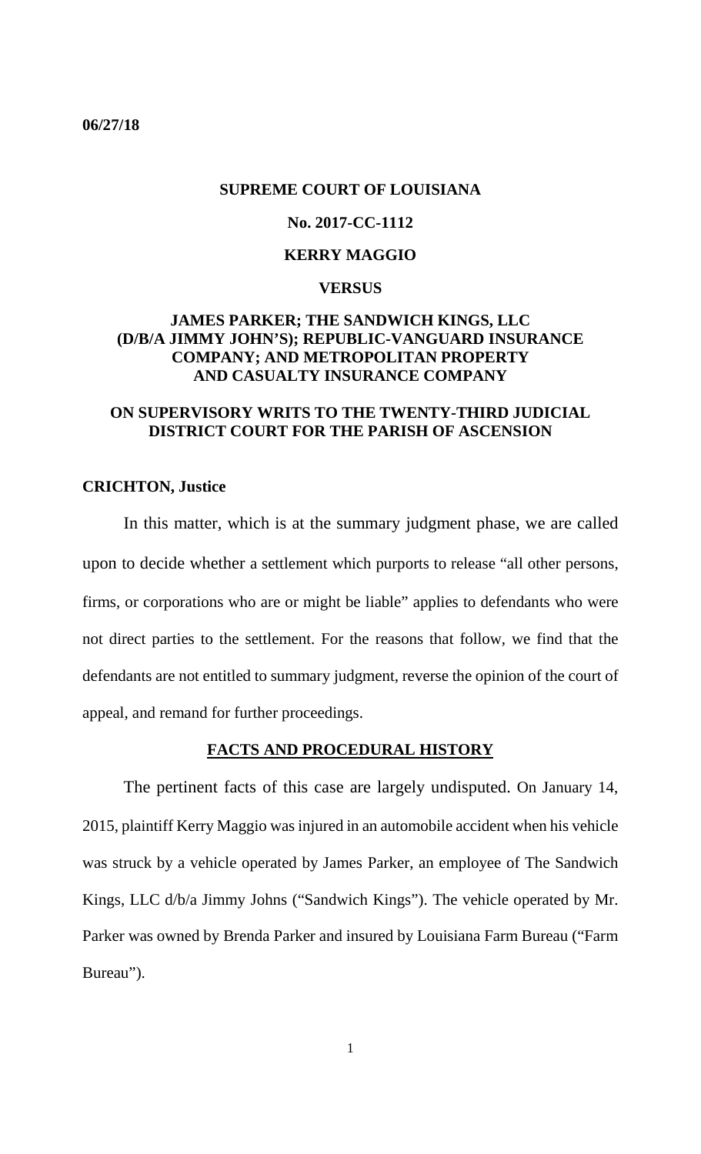### <span id="page-1-0"></span>**06/27/18**

### **SUPREME COURT OF LOUISIANA**

## **No. 2017-CC-1112**

### **KERRY MAGGIO**

#### **VERSUS**

## **JAMES PARKER; THE SANDWICH KINGS, LLC (D/B/A JIMMY JOHN'S); REPUBLIC-VANGUARD INSURANCE COMPANY; AND METROPOLITAN PROPERTY AND CASUALTY INSURANCE COMPANY**

## **ON SUPERVISORY WRITS TO THE TWENTY-THIRD JUDICIAL DISTRICT COURT FOR THE PARISH OF ASCENSION**

### **CRICHTON, Justice**

In this matter, which is at the summary judgment phase, we are called upon to decide whether a settlement which purports to release "all other persons, firms, or corporations who are or might be liable" applies to defendants who were not direct parties to the settlement. For the reasons that follow, we find that the defendants are not entitled to summary judgment, reverse the opinion of the court of appeal, and remand for further proceedings.

### **FACTS AND PROCEDURAL HISTORY**

The pertinent facts of this case are largely undisputed. On January 14, 2015, plaintiff Kerry Maggio was injured in an automobile accident when his vehicle was struck by a vehicle operated by James Parker, an employee of The Sandwich Kings, LLC d/b/a Jimmy Johns ("Sandwich Kings"). The vehicle operated by Mr. Parker was owned by Brenda Parker and insured by Louisiana Farm Bureau ("Farm Bureau").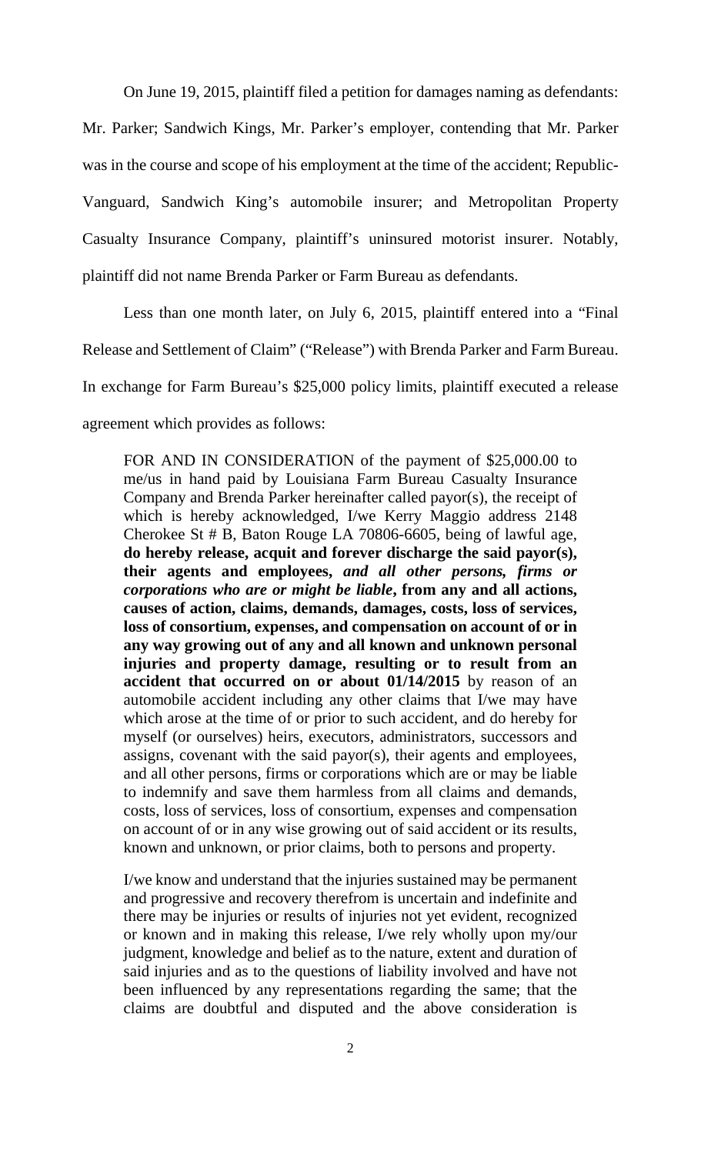On June 19, 2015, plaintiff filed a petition for damages naming as defendants:

Mr. Parker; Sandwich Kings, Mr. Parker's employer, contending that Mr. Parker was in the course and scope of his employment at the time of the accident; Republic-Vanguard, Sandwich King's automobile insurer; and Metropolitan Property Casualty Insurance Company, plaintiff's uninsured motorist insurer. Notably, plaintiff did not name Brenda Parker or Farm Bureau as defendants.

Less than one month later, on July 6, 2015, plaintiff entered into a "Final Release and Settlement of Claim" ("Release") with Brenda Parker and Farm Bureau. In exchange for Farm Bureau's \$25,000 policy limits, plaintiff executed a release agreement which provides as follows:

FOR AND IN CONSIDERATION of the payment of \$25,000.00 to me/us in hand paid by Louisiana Farm Bureau Casualty Insurance Company and Brenda Parker hereinafter called payor(s), the receipt of which is hereby acknowledged, I/we Kerry Maggio address 2148 Cherokee St # B, Baton Rouge LA 70806-6605, being of lawful age, **do hereby release, acquit and forever discharge the said payor(s), their agents and employees,** *and all other persons, firms or corporations who are or might be liable***, from any and all actions, causes of action, claims, demands, damages, costs, loss of services, loss of consortium, expenses, and compensation on account of or in any way growing out of any and all known and unknown personal injuries and property damage, resulting or to result from an accident that occurred on or about 01/14/2015** by reason of an automobile accident including any other claims that I/we may have which arose at the time of or prior to such accident, and do hereby for myself (or ourselves) heirs, executors, administrators, successors and assigns, covenant with the said payor(s), their agents and employees, and all other persons, firms or corporations which are or may be liable to indemnify and save them harmless from all claims and demands, costs, loss of services, loss of consortium, expenses and compensation on account of or in any wise growing out of said accident or its results, known and unknown, or prior claims, both to persons and property.

I/we know and understand that the injuries sustained may be permanent and progressive and recovery therefrom is uncertain and indefinite and there may be injuries or results of injuries not yet evident, recognized or known and in making this release, I/we rely wholly upon my/our judgment, knowledge and belief as to the nature, extent and duration of said injuries and as to the questions of liability involved and have not been influenced by any representations regarding the same; that the claims are doubtful and disputed and the above consideration is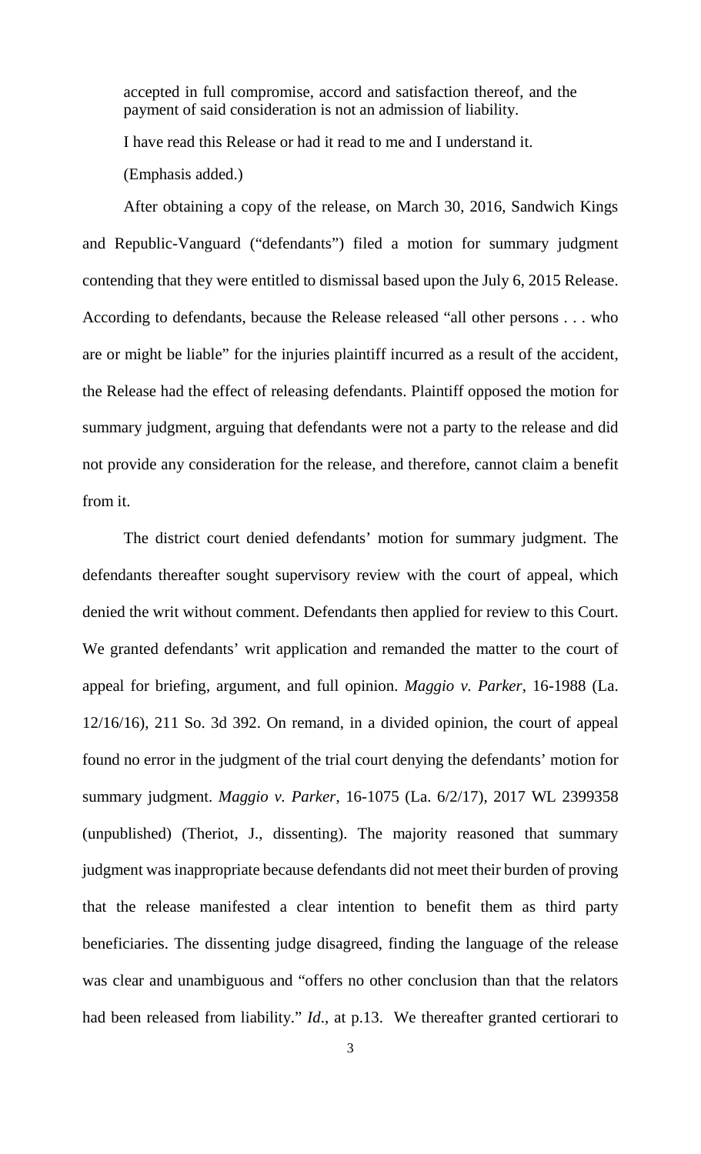accepted in full compromise, accord and satisfaction thereof, and the payment of said consideration is not an admission of liability.

I have read this Release or had it read to me and I understand it.

(Emphasis added.)

After obtaining a copy of the release, on March 30, 2016, Sandwich Kings and Republic-Vanguard ("defendants") filed a motion for summary judgment contending that they were entitled to dismissal based upon the July 6, 2015 Release. According to defendants, because the Release released "all other persons . . . who are or might be liable" for the injuries plaintiff incurred as a result of the accident, the Release had the effect of releasing defendants. Plaintiff opposed the motion for summary judgment, arguing that defendants were not a party to the release and did not provide any consideration for the release, and therefore, cannot claim a benefit from it.

The district court denied defendants' motion for summary judgment. The defendants thereafter sought supervisory review with the court of appeal, which denied the writ without comment. Defendants then applied for review to this Court. We granted defendants' writ application and remanded the matter to the court of appeal for briefing, argument, and full opinion. *Maggio v. Parker*, 16-1988 (La. 12/16/16), 211 So. 3d 392. On remand, in a divided opinion, the court of appeal found no error in the judgment of the trial court denying the defendants' motion for summary judgment. *Maggio v. Parker*, 16-1075 (La. 6/2/17), 2017 WL 2399358 (unpublished) (Theriot, J., dissenting). The majority reasoned that summary judgment was inappropriate because defendants did not meet their burden of proving that the release manifested a clear intention to benefit them as third party beneficiaries. The dissenting judge disagreed, finding the language of the release was clear and unambiguous and "offers no other conclusion than that the relators had been released from liability." *Id*., at p.13. We thereafter granted certiorari to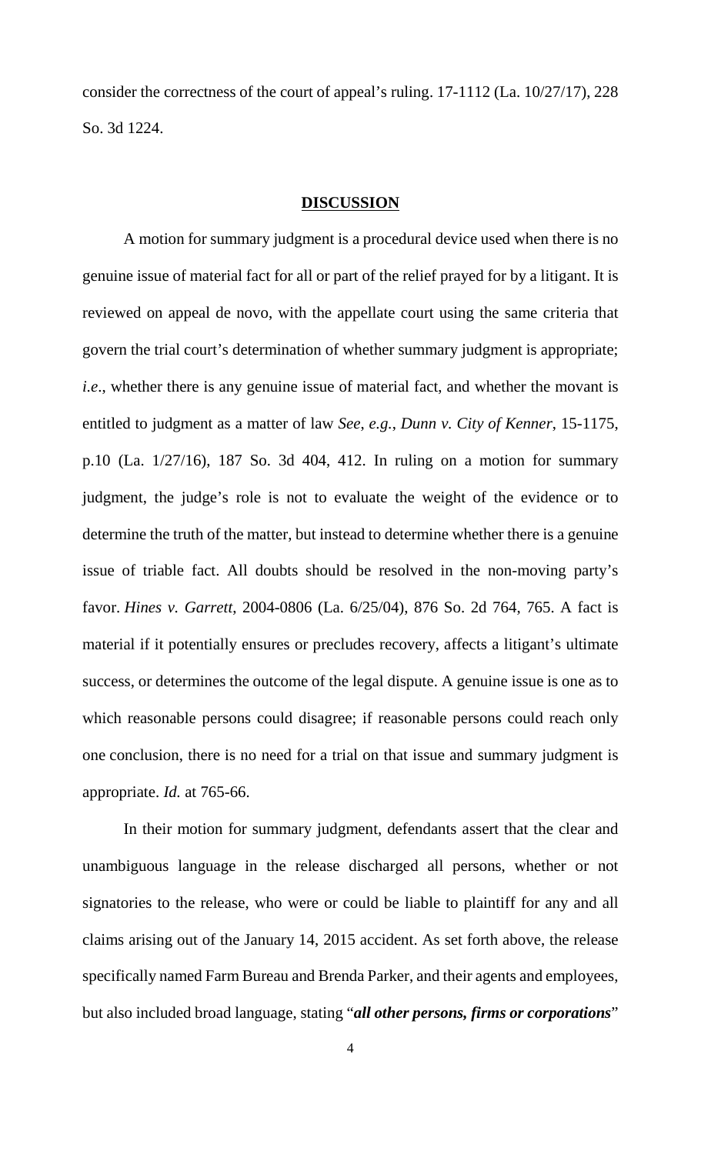consider the correctness of the court of appeal's ruling. 17-1112 (La. 10/27/17), 228 So. 3d 1224.

#### **DISCUSSION**

A motion for summary judgment is a procedural device used when there is no genuine issue of material fact for all or part of the relief prayed for by a litigant. It is reviewed on appeal de novo, with the appellate court using the same criteria that govern the trial court's determination of whether summary judgment is appropriate; *i.e*., whether there is any genuine issue of material fact, and whether the movant is entitled to judgment as a matter of law *See*, *e.g.*, *Dunn v. City of Kenner*, 15-1175, p.10 (La. 1/27/16), 187 So. 3d 404, 412. In ruling on a motion for summary judgment, the judge's role is not to evaluate the weight of the evidence or to determine the truth of the matter, but instead to determine whether there is a genuine issue of triable fact. All doubts should be resolved in the non-moving party's favor. *Hines v. Garrett*, 2004-0806 (La. 6/25/04), 876 So. 2d 764, 765. A fact is material if it potentially ensures or precludes recovery, affects a litigant's ultimate success, or determines the outcome of the legal dispute. A genuine issue is one as to which reasonable persons could disagree; if reasonable persons could reach only one conclusion, there is no need for a trial on that issue and summary judgment is appropriate. *Id.* at 765-66.

In their motion for summary judgment, defendants assert that the clear and unambiguous language in the release discharged all persons, whether or not signatories to the release, who were or could be liable to plaintiff for any and all claims arising out of the January 14, 2015 accident. As set forth above, the release specifically named Farm Bureau and Brenda Parker, and their agents and employees, but also included broad language, stating "*all other persons, firms or corporations*"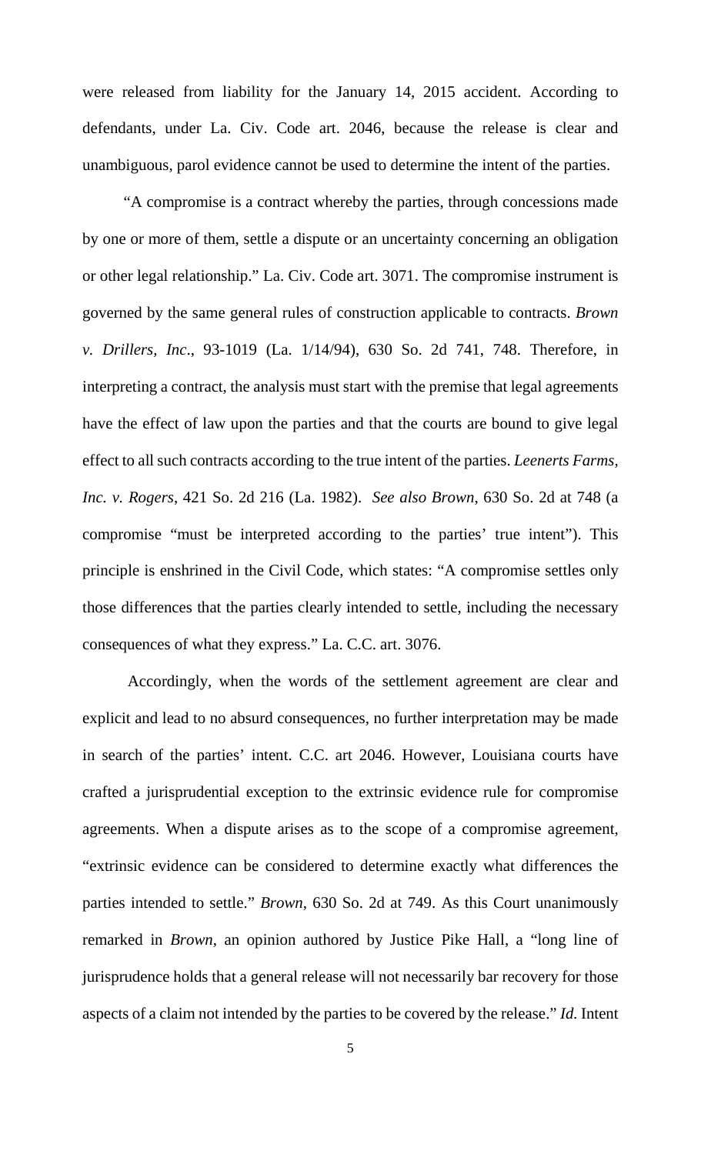were released from liability for the January 14, 2015 accident. According to defendants, under La. Civ. Code art. 2046, because the release is clear and unambiguous, parol evidence cannot be used to determine the intent of the parties.

"A compromise is a contract whereby the parties, through concessions made by one or more of them, settle a dispute or an uncertainty concerning an obligation or other legal relationship." La. Civ. Code art. 3071. The compromise instrument is governed by the same general rules of construction applicable to contracts. *Brown v. Drillers, Inc*., 93-1019 (La. 1/14/94), 630 So. 2d 741, 748. Therefore, in interpreting a contract, the analysis must start with the premise that legal agreements have the effect of law upon the parties and that the courts are bound to give legal effect to all such contracts according to the true intent of the parties. *Leenerts Farms, Inc. v. Rogers*, 421 So. 2d 216 (La. 1982). *See also Brown*, 630 So. 2d at 748 (a compromise "must be interpreted according to the parties' true intent"). This principle is enshrined in the Civil Code, which states: "A compromise settles only those differences that the parties clearly intended to settle, including the necessary consequences of what they express." La. C.C. art. 3076.

Accordingly, when the words of the settlement agreement are clear and explicit and lead to no absurd consequences, no further interpretation may be made in search of the parties' intent. C.C. art 2046. However, Louisiana courts have crafted a jurisprudential exception to the extrinsic evidence rule for compromise agreements. When a dispute arises as to the scope of a compromise agreement, "extrinsic evidence can be considered to determine exactly what differences the parties intended to settle." *Brown*, 630 So. 2d at 749. As this Court unanimously remarked in *Brown*, an opinion authored by Justice Pike Hall, a "long line of jurisprudence holds that a general release will not necessarily bar recovery for those aspects of a claim not intended by the parties to be covered by the release." *Id.* Intent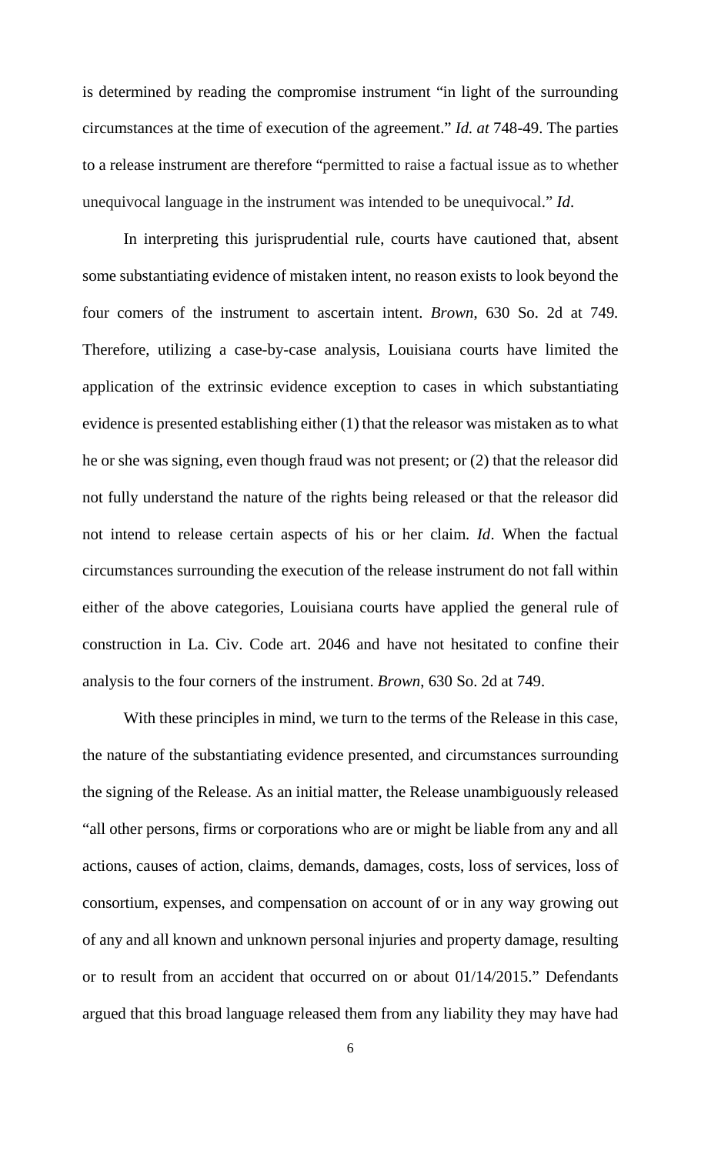is determined by reading the compromise instrument "in light of the surrounding circumstances at the time of execution of the agreement." *Id. at* 748-49. The parties to a release instrument are therefore "permitted to raise a factual issue as to whether unequivocal language in the instrument was intended to be unequivocal." *Id*.

In interpreting this jurisprudential rule, courts have cautioned that, absent some substantiating evidence of mistaken intent, no reason exists to look beyond the four comers of the instrument to ascertain intent. *Brown*, 630 So. 2d at 749*.*  Therefore, utilizing a case-by-case analysis, Louisiana courts have limited the application of the extrinsic evidence exception to cases in which substantiating evidence is presented establishing either (1) that the releasor was mistaken as to what he or she was signing, even though fraud was not present; or (2) that the releasor did not fully understand the nature of the rights being released or that the releasor did not intend to release certain aspects of his or her claim. *Id*. When the factual circumstances surrounding the execution of the release instrument do not fall within either of the above categories, Louisiana courts have applied the general rule of construction in La. Civ. Code art. 2046 and have not hesitated to confine their analysis to the four corners of the instrument. *Brown*, 630 So. 2d at 749.

With these principles in mind, we turn to the terms of the Release in this case, the nature of the substantiating evidence presented, and circumstances surrounding the signing of the Release. As an initial matter, the Release unambiguously released "all other persons, firms or corporations who are or might be liable from any and all actions, causes of action, claims, demands, damages, costs, loss of services, loss of consortium, expenses, and compensation on account of or in any way growing out of any and all known and unknown personal injuries and property damage, resulting or to result from an accident that occurred on or about 01/14/2015." Defendants argued that this broad language released them from any liability they may have had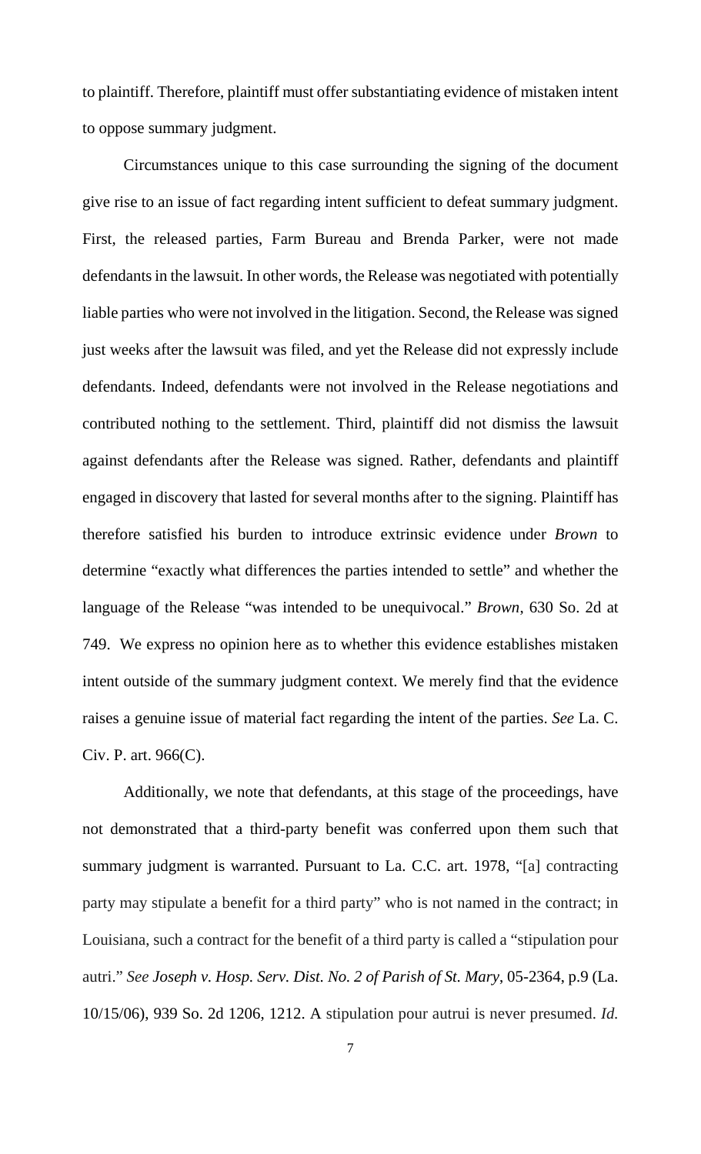to plaintiff. Therefore, plaintiff must offer substantiating evidence of mistaken intent to oppose summary judgment.

Circumstances unique to this case surrounding the signing of the document give rise to an issue of fact regarding intent sufficient to defeat summary judgment. First, the released parties, Farm Bureau and Brenda Parker, were not made defendants in the lawsuit. In other words, the Release was negotiated with potentially liable parties who were not involved in the litigation. Second, the Release was signed just weeks after the lawsuit was filed, and yet the Release did not expressly include defendants. Indeed, defendants were not involved in the Release negotiations and contributed nothing to the settlement. Third, plaintiff did not dismiss the lawsuit against defendants after the Release was signed. Rather, defendants and plaintiff engaged in discovery that lasted for several months after to the signing. Plaintiff has therefore satisfied his burden to introduce extrinsic evidence under *Brown* to determine "exactly what differences the parties intended to settle" and whether the language of the Release "was intended to be unequivocal." *Brown*, 630 So. 2d at 749. We express no opinion here as to whether this evidence establishes mistaken intent outside of the summary judgment context. We merely find that the evidence raises a genuine issue of material fact regarding the intent of the parties. *See* La. C. Civ. P. art. 966(C).

Additionally, we note that defendants, at this stage of the proceedings, have not demonstrated that a third-party benefit was conferred upon them such that summary judgment is warranted. Pursuant to La. C.C. art. 1978, "[a] contracting party may stipulate a benefit for a third party" who is not named in the contract; in Louisiana, such a contract for the benefit of a third party is called a "stipulation pour autri." *See Joseph v. Hosp. Serv. Dist. No. 2 of Parish of St. Mary*, 05-2364, p.9 (La. 10/15/06), 939 So. 2d 1206, 1212. A stipulation pour autrui is never presumed. *Id.*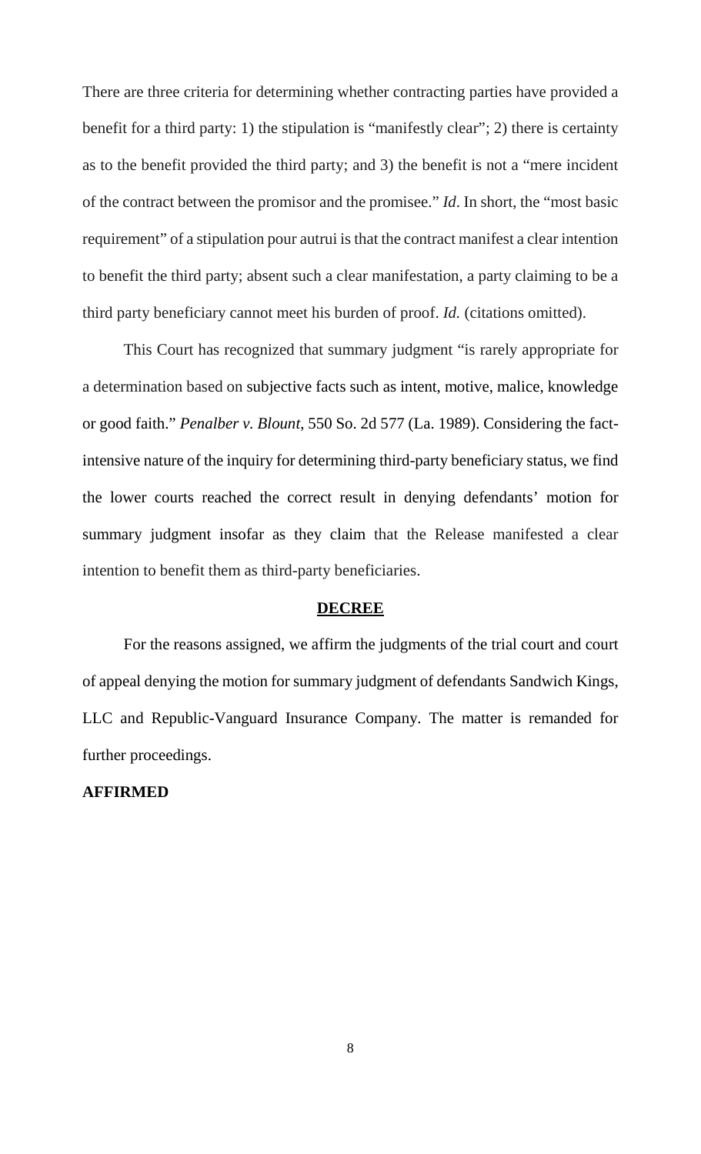There are three criteria for determining whether contracting parties have provided a benefit for a third party: 1) the stipulation is "manifestly clear"; 2) there is certainty as to the benefit provided the third party; and 3) the benefit is not a "mere incident of the contract between the promisor and the promisee." *Id*. In short, the "most basic requirement" of a stipulation pour autrui is that the contract manifest a clear intention to benefit the third party; absent such a clear manifestation, a party claiming to be a third party beneficiary cannot meet his burden of proof. *Id.* (citations omitted).

This Court has recognized that summary judgment "is rarely appropriate for a determination based on subjective facts such as intent, motive, malice, knowledge or good faith." *Penalber v. Blount*, 550 So. 2d 577 (La. 1989). Considering the factintensive nature of the inquiry for determining third-party beneficiary status, we find the lower courts reached the correct result in denying defendants' motion for summary judgment insofar as they claim that the Release manifested a clear intention to benefit them as third-party beneficiaries.

#### **DECREE**

For the reasons assigned, we affirm the judgments of the trial court and court of appeal denying the motion for summary judgment of defendants Sandwich Kings, LLC and Republic-Vanguard Insurance Company. The matter is remanded for further proceedings.

### **AFFIRMED**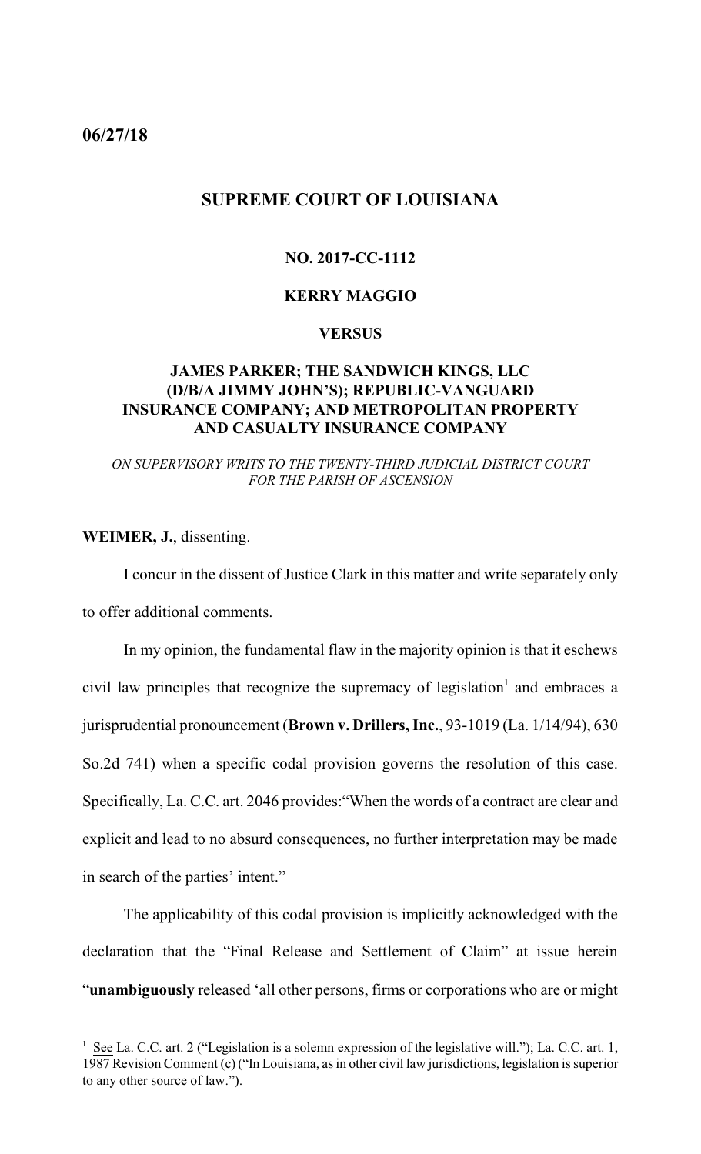<span id="page-9-0"></span>**06/27/18**

## **SUPREME COURT OF LOUISIANA**

### **NO. 2017-CC-1112**

### **KERRY MAGGIO**

### **VERSUS**

## **JAMES PARKER; THE SANDWICH KINGS, LLC (D/B/A JIMMY JOHN'S); REPUBLIC-VANGUARD INSURANCE COMPANY; AND METROPOLITAN PROPERTY AND CASUALTY INSURANCE COMPANY**

*ON SUPERVISORY WRITS TO THE TWENTY-THIRD JUDICIAL DISTRICT COURT FOR THE PARISH OF ASCENSION*

**WEIMER, J.**, dissenting.

I concur in the dissent of Justice Clark in this matter and write separately only to offer additional comments.

In my opinion, the fundamental flaw in the majority opinion is that it eschews civil law principles that recognize the supremacy of legislation 1 and embraces a jurisprudential pronouncement (**Brown v. Drillers, Inc.**, 93-1019 (La. 1/14/94), 630 So.2d 741) when a specific codal provision governs the resolution of this case. Specifically, La. C.C. art. 2046 provides:"When the words of a contract are clear and explicit and lead to no absurd consequences, no further interpretation may be made in search of the parties' intent."

The applicability of this codal provision is implicitly acknowledged with the declaration that the "Final Release and Settlement of Claim" at issue herein "**unambiguously** released 'all other persons, firms or corporations who are or might

<sup>&</sup>lt;sup>1</sup> See La. C.C. art. 2 ("Legislation is a solemn expression of the legislative will."); La. C.C. art. 1, 1987 Revision Comment (c) ("In Louisiana, as in other civil law jurisdictions, legislation is superior to any other source of law.").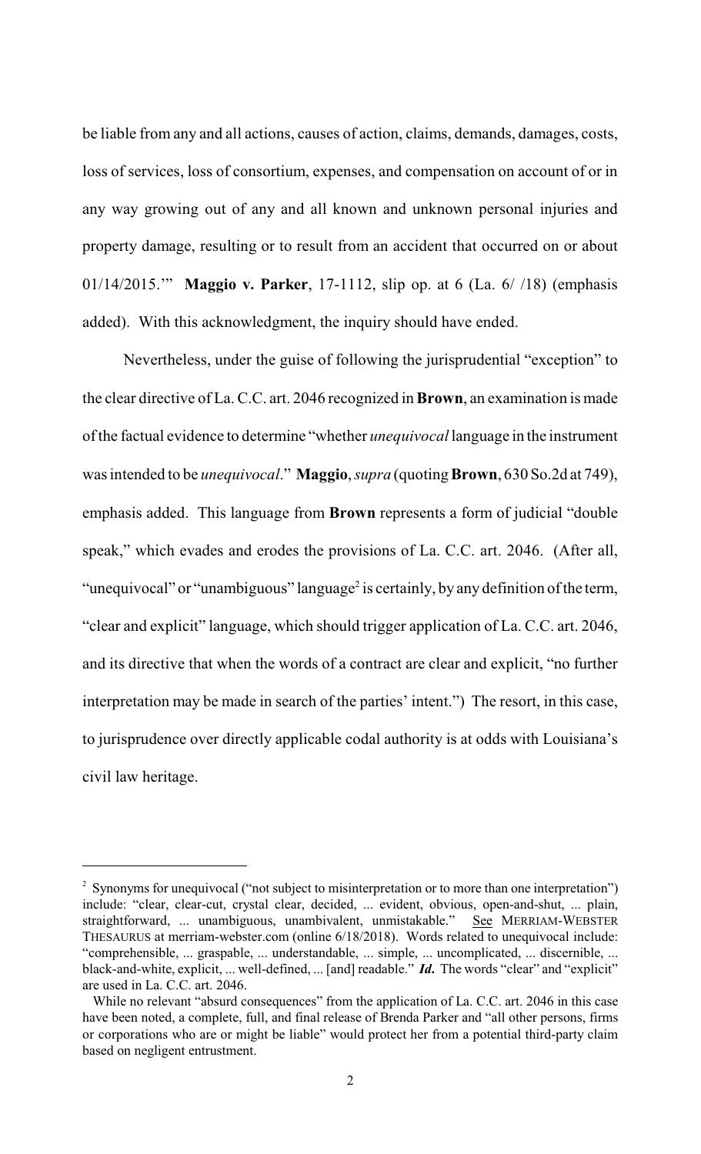be liable from any and all actions, causes of action, claims, demands, damages, costs, loss of services, loss of consortium, expenses, and compensation on account of or in any way growing out of any and all known and unknown personal injuries and property damage, resulting or to result from an accident that occurred on or about 01/14/2015.'" **Maggio v. Parker**, 17-1112, slip op. at 6 (La. 6/ /18) (emphasis added). With this acknowledgment, the inquiry should have ended.

Nevertheless, under the guise of following the jurisprudential "exception" to the clear directive of La. C.C. art. 2046 recognized in**Brown**, an examination is made of the factual evidence to determine "whether *unequivocal* language in the instrument wasintended to be *unequivocal*." **Maggio**, *supra* (quoting**Brown**, 630 So.2d at 749), emphasis added. This language from **Brown** represents a form of judicial "double speak," which evades and erodes the provisions of La. C.C. art. 2046. (After all, "unequivocal" or "unambiguous" language<sup>2</sup> is certainly, by any definition of the term, "clear and explicit" language, which should trigger application of La. C.C. art. 2046, and its directive that when the words of a contract are clear and explicit, "no further interpretation may be made in search of the parties' intent.") The resort, in this case, to jurisprudence over directly applicable codal authority is at odds with Louisiana's civil law heritage.

<sup>&</sup>lt;sup>2</sup> Synonyms for unequivocal ("not subject to misinterpretation or to more than one interpretation") include: "clear, clear-cut, crystal clear, decided, ... evident, obvious, open-and-shut, ... plain, straightforward, ... unambiguous, unambivalent, unmistakable." See MERRIAM-WEBSTER THESAURUS at merriam-webster.com (online 6/18/2018). Words related to unequivocal include: "comprehensible, ... graspable, ... understandable, ... simple, ... uncomplicated, ... discernible, ... black-and-white, explicit, ... well-defined, ... [and] readable." *Id***.** The words "clear" and "explicit" are used in La. C.C. art. 2046.

While no relevant "absurd consequences" from the application of La. C.C. art. 2046 in this case have been noted, a complete, full, and final release of Brenda Parker and "all other persons, firms or corporations who are or might be liable" would protect her from a potential third-party claim based on negligent entrustment.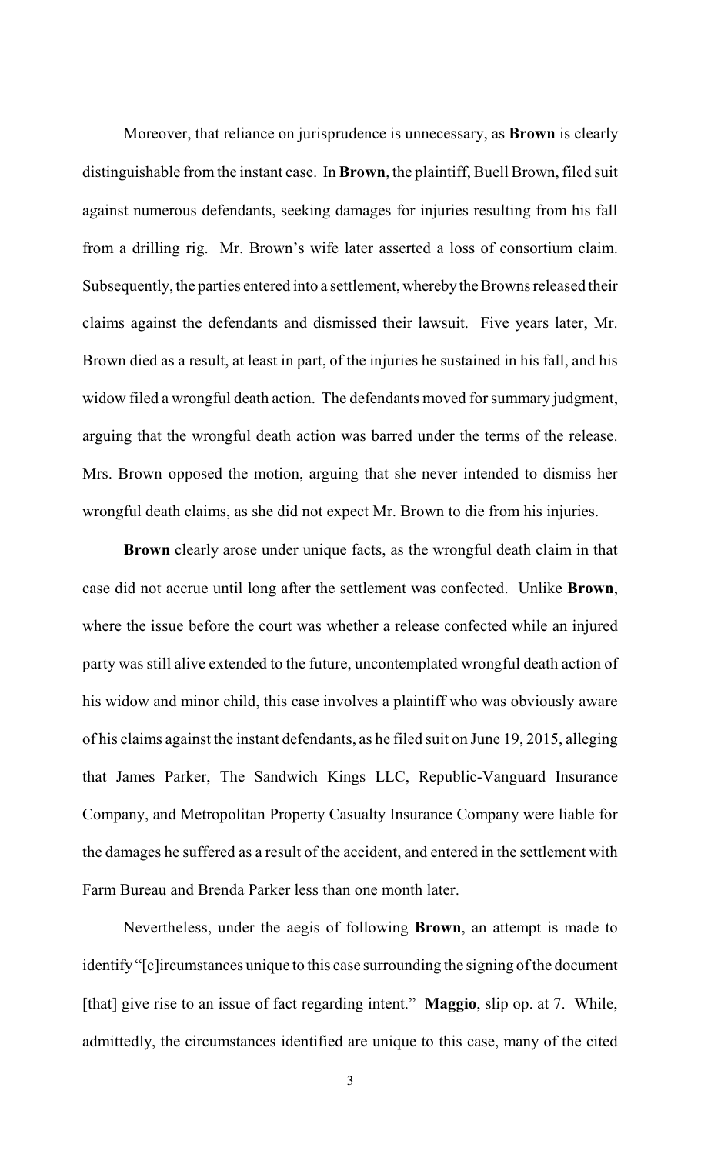Moreover, that reliance on jurisprudence is unnecessary, as **Brown** is clearly distinguishable from the instant case. In **Brown**, the plaintiff, Buell Brown, filed suit against numerous defendants, seeking damages for injuries resulting from his fall from a drilling rig. Mr. Brown's wife later asserted a loss of consortium claim. Subsequently, the parties entered into a settlement, whereby the Browns released their claims against the defendants and dismissed their lawsuit. Five years later, Mr. Brown died as a result, at least in part, of the injuries he sustained in his fall, and his widow filed a wrongful death action. The defendants moved for summary judgment, arguing that the wrongful death action was barred under the terms of the release. Mrs. Brown opposed the motion, arguing that she never intended to dismiss her wrongful death claims, as she did not expect Mr. Brown to die from his injuries.

**Brown** clearly arose under unique facts, as the wrongful death claim in that case did not accrue until long after the settlement was confected. Unlike **Brown**, where the issue before the court was whether a release confected while an injured party was still alive extended to the future, uncontemplated wrongful death action of his widow and minor child, this case involves a plaintiff who was obviously aware of his claims against the instant defendants, as he filed suit on June 19, 2015, alleging that James Parker, The Sandwich Kings LLC, Republic-Vanguard Insurance Company, and Metropolitan Property Casualty Insurance Company were liable for the damages he suffered as a result of the accident, and entered in the settlement with Farm Bureau and Brenda Parker less than one month later.

Nevertheless, under the aegis of following **Brown**, an attempt is made to identify "[c]ircumstances unique to this case surrounding the signing of the document [that] give rise to an issue of fact regarding intent." **Maggio**, slip op. at 7. While, admittedly, the circumstances identified are unique to this case, many of the cited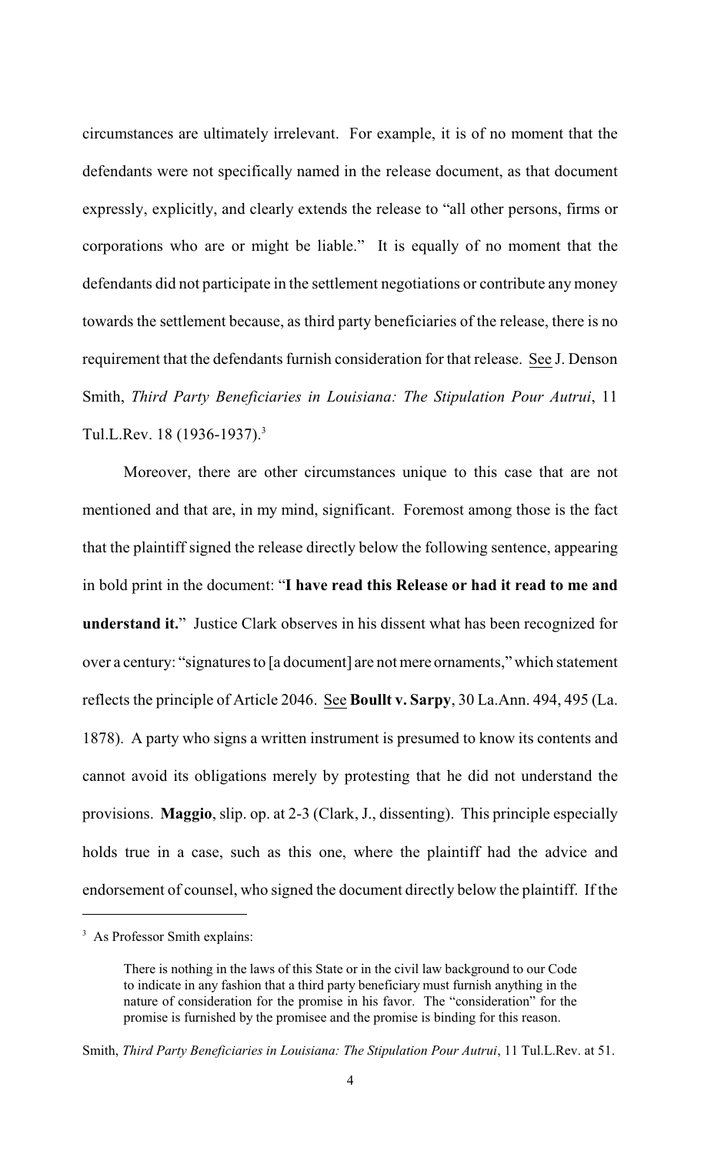circumstances are ultimately irrelevant. For example, it is of no moment that the defendants were not specifically named in the release document, as that document expressly, explicitly, and clearly extends the release to "all other persons, firms or corporations who are or might be liable." It is equally of no moment that the defendants did not participate in the settlement negotiations or contribute any money towards the settlement because, as third party beneficiaries of the release, there is no requirement that the defendants furnish consideration for that release. See J. Denson Smith, *Third Party Beneficiaries in Louisiana: The Stipulation Pour Autrui*, 11 Tul.L.Rev. 18 (1936-1937).<sup>3</sup>

Moreover, there are other circumstances unique to this case that are not mentioned and that are, in my mind, significant. Foremost among those is the fact that the plaintiff signed the release directly below the following sentence, appearing in bold print in the document: "**I have read this Release or had it read to me and understand it.**" Justice Clark observes in his dissent what has been recognized for over a century: "signaturesto [a document] are not mere ornaments," which statement reflects the principle of Article 2046. See **Boullt v. Sarpy**, 30 La.Ann. 494, 495 (La. 1878). A party who signs a written instrument is presumed to know its contents and cannot avoid its obligations merely by protesting that he did not understand the provisions. **Maggio**, slip. op. at 2-3 (Clark, J., dissenting). This principle especially holds true in a case, such as this one, where the plaintiff had the advice and endorsement of counsel, who signed the document directly below the plaintiff. If the

<sup>&</sup>lt;sup>3</sup> As Professor Smith explains:

There is nothing in the laws of this State or in the civil law background to our Code to indicate in any fashion that a third party beneficiary must furnish anything in the nature of consideration for the promise in his favor. The "consideration" for the promise is furnished by the promisee and the promise is binding for this reason.

Smith, *Third Party Beneficiaries in Louisiana: The Stipulation Pour Autrui*, 11 Tul.L.Rev. at 51.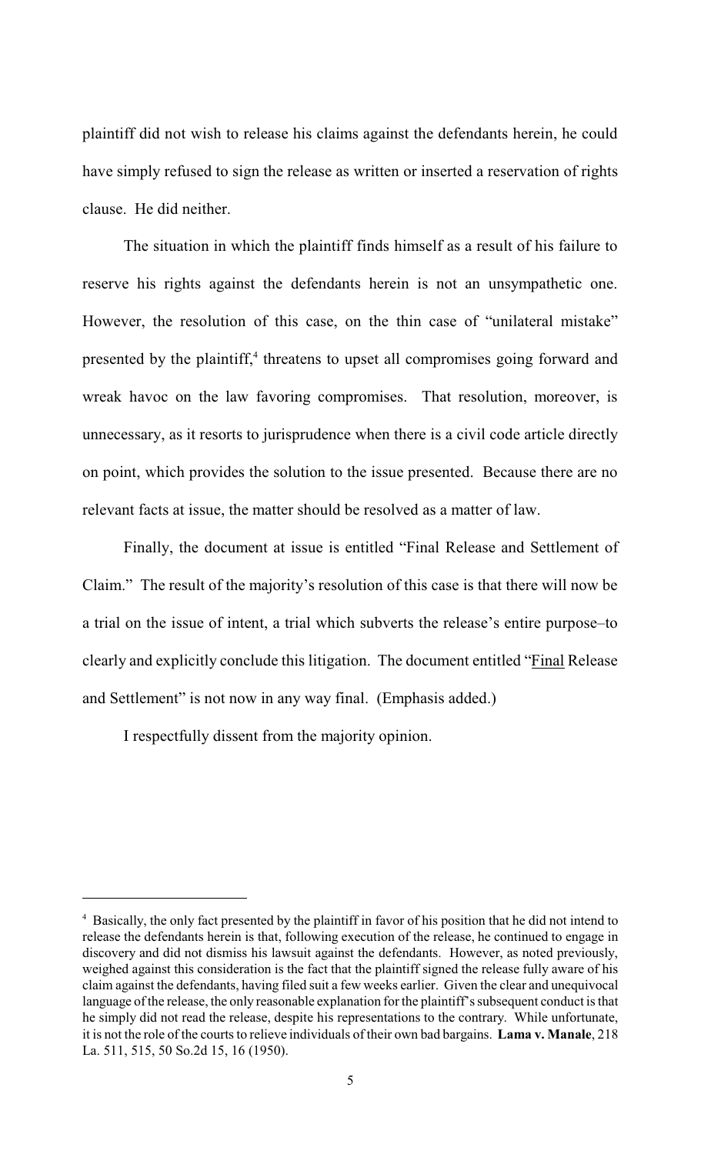plaintiff did not wish to release his claims against the defendants herein, he could have simply refused to sign the release as written or inserted a reservation of rights clause. He did neither.

The situation in which the plaintiff finds himself as a result of his failure to reserve his rights against the defendants herein is not an unsympathetic one. However, the resolution of this case, on the thin case of "unilateral mistake" presented by the plaintiff,<sup>4</sup> threatens to upset all compromises going forward and wreak havoc on the law favoring compromises. That resolution, moreover, is unnecessary, as it resorts to jurisprudence when there is a civil code article directly on point, which provides the solution to the issue presented. Because there are no relevant facts at issue, the matter should be resolved as a matter of law.

Finally, the document at issue is entitled "Final Release and Settlement of Claim." The result of the majority's resolution of this case is that there will now be a trial on the issue of intent, a trial which subverts the release's entire purpose–to clearly and explicitly conclude this litigation. The document entitled "Final Release and Settlement" is not now in any way final. (Emphasis added.)

I respectfully dissent from the majority opinion.

<sup>&</sup>lt;sup>4</sup> Basically, the only fact presented by the plaintiff in favor of his position that he did not intend to release the defendants herein is that, following execution of the release, he continued to engage in discovery and did not dismiss his lawsuit against the defendants. However, as noted previously, weighed against this consideration is the fact that the plaintiff signed the release fully aware of his claim against the defendants, having filed suit a few weeks earlier. Given the clear and unequivocal language of the release, the only reasonable explanation for the plaintiff's subsequent conduct is that he simply did not read the release, despite his representations to the contrary. While unfortunate, it is not the role of the courts to relieve individuals of their own bad bargains. **Lama v. Manale**, 218 La. 511, 515, 50 So.2d 15, 16 (1950).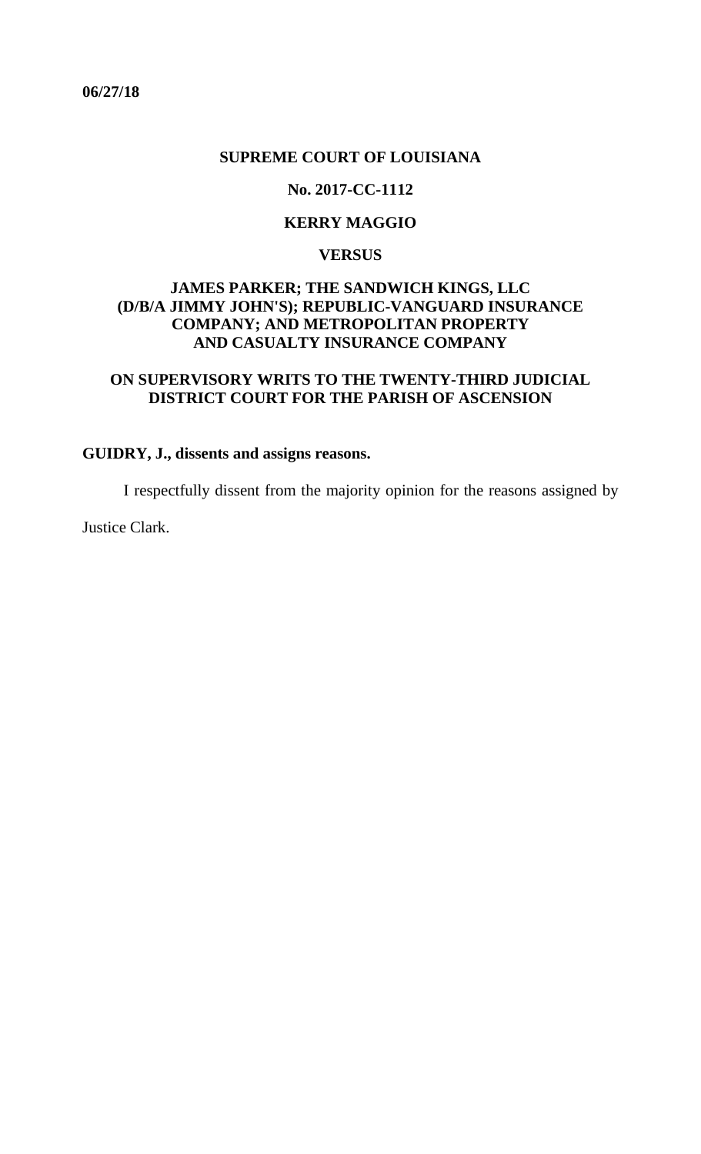<span id="page-14-0"></span>**06/27/18**

### **SUPREME COURT OF LOUISIANA**

## **No. 2017-CC-1112**

## **KERRY MAGGIO**

## **VERSUS**

## **JAMES PARKER; THE SANDWICH KINGS, LLC (D/B/A JIMMY JOHN'S); REPUBLIC-VANGUARD INSURANCE COMPANY; AND METROPOLITAN PROPERTY AND CASUALTY INSURANCE COMPANY**

## **ON SUPERVISORY WRITS TO THE TWENTY-THIRD JUDICIAL DISTRICT COURT FOR THE PARISH OF ASCENSION**

# **GUIDRY, J., dissents and assigns reasons.**

I respectfully dissent from the majority opinion for the reasons assigned by

Justice Clark.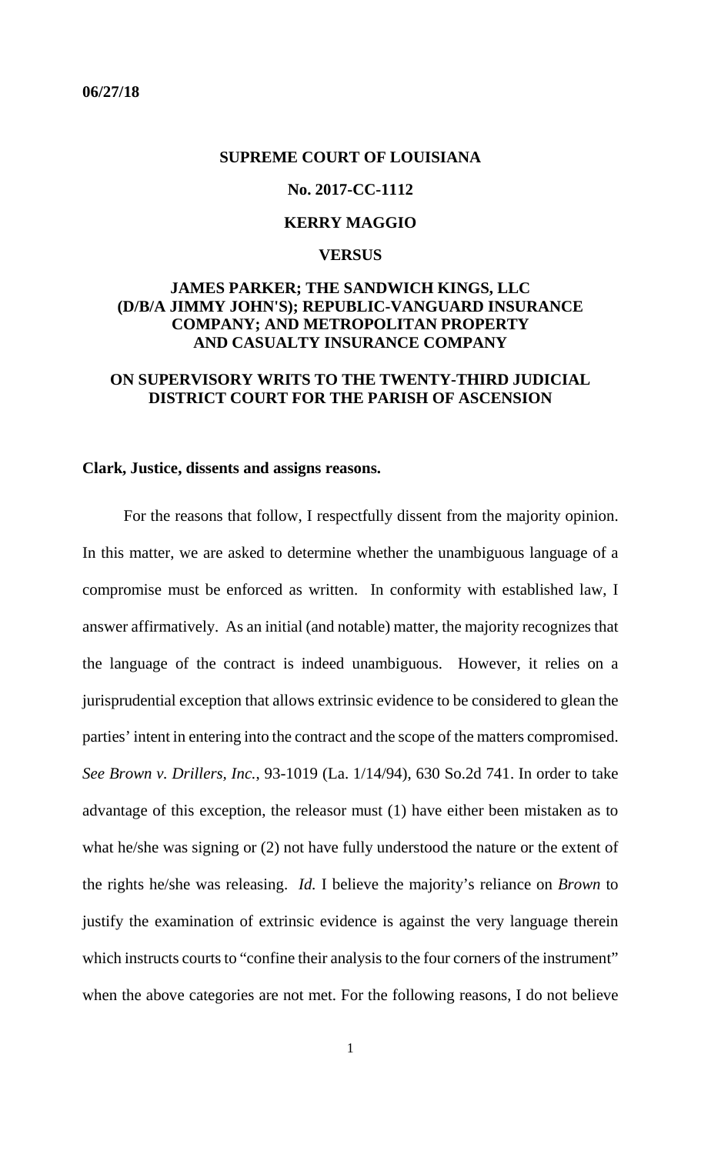### <span id="page-15-0"></span>**SUPREME COURT OF LOUISIANA**

### **No. 2017-CC-1112**

## **KERRY MAGGIO**

### **VERSUS**

## **JAMES PARKER; THE SANDWICH KINGS, LLC (D/B/A JIMMY JOHN'S); REPUBLIC-VANGUARD INSURANCE COMPANY; AND METROPOLITAN PROPERTY AND CASUALTY INSURANCE COMPANY**

## **ON SUPERVISORY WRITS TO THE TWENTY-THIRD JUDICIAL DISTRICT COURT FOR THE PARISH OF ASCENSION**

### **Clark, Justice, dissents and assigns reasons.**

For the reasons that follow, I respectfully dissent from the majority opinion. In this matter, we are asked to determine whether the unambiguous language of a compromise must be enforced as written. In conformity with established law, I answer affirmatively. As an initial (and notable) matter, the majority recognizes that the language of the contract is indeed unambiguous. However, it relies on a jurisprudential exception that allows extrinsic evidence to be considered to glean the parties' intent in entering into the contract and the scope of the matters compromised. *See Brown v. Drillers, Inc.*, 93-1019 (La. 1/14/94), 630 So.2d 741. In order to take advantage of this exception, the releasor must (1) have either been mistaken as to what he/she was signing or (2) not have fully understood the nature or the extent of the rights he/she was releasing. *Id.* I believe the majority's reliance on *Brown* to justify the examination of extrinsic evidence is against the very language therein which instructs courts to "confine their analysis to the four corners of the instrument" when the above categories are not met. For the following reasons, I do not believe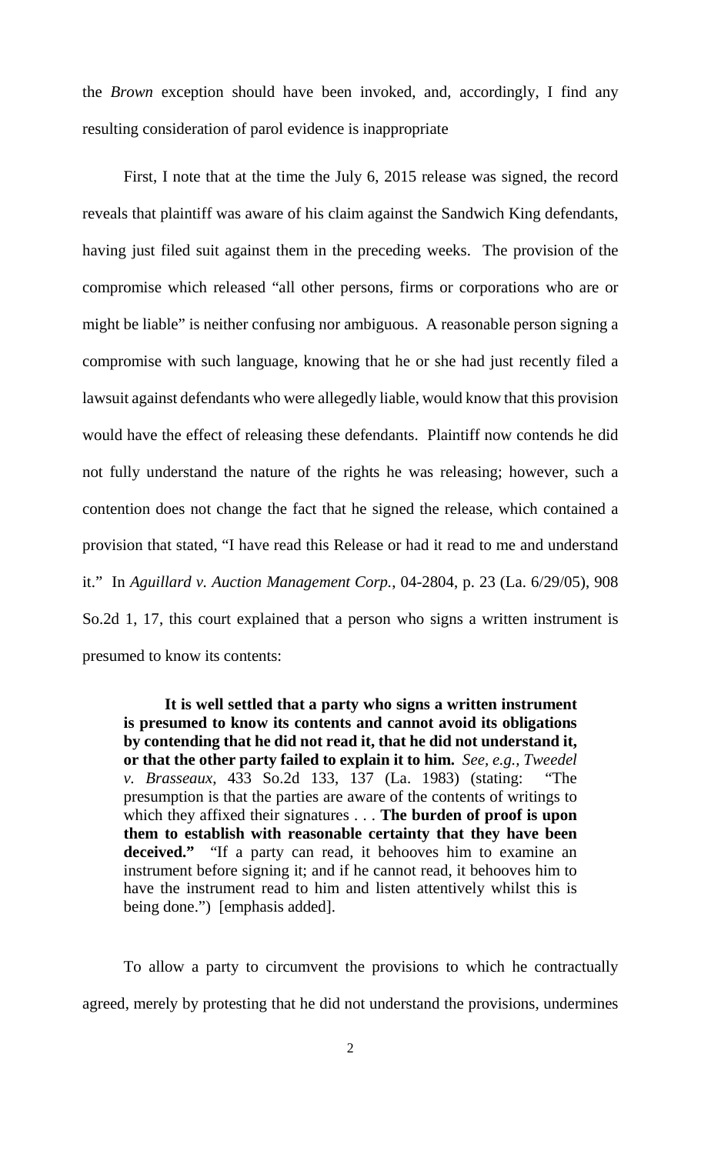the *Brown* exception should have been invoked, and, accordingly, I find any resulting consideration of parol evidence is inappropriate

First, I note that at the time the July 6, 2015 release was signed, the record reveals that plaintiff was aware of his claim against the Sandwich King defendants, having just filed suit against them in the preceding weeks. The provision of the compromise which released "all other persons, firms or corporations who are or might be liable" is neither confusing nor ambiguous. A reasonable person signing a compromise with such language, knowing that he or she had just recently filed a lawsuit against defendants who were allegedly liable, would know that this provision would have the effect of releasing these defendants. Plaintiff now contends he did not fully understand the nature of the rights he was releasing; however, such a contention does not change the fact that he signed the release, which contained a provision that stated, "I have read this Release or had it read to me and understand it." In *Aguillard v. Auction Management Corp.*, 04-2804, p. 23 (La. 6/29/05), 908 So.2d 1, 17, this court explained that a person who signs a written instrument is presumed to know its contents:

**It is well settled that a party who signs a written instrument is presumed to know its contents and cannot avoid its obligations by contending that he did not read it, that he did not understand it, or that the other party failed to explain it to him.** *See, e.g., Tweedel v. Brasseaux*, 433 So.2d 133, 137 (La. 1983) (stating: "The presumption is that the parties are aware of the contents of writings to which they affixed their signatures . . . **The burden of proof is upon them to establish with reasonable certainty that they have been deceived."** "If a party can read, it behooves him to examine an instrument before signing it; and if he cannot read, it behooves him to have the instrument read to him and listen attentively whilst this is being done.") [emphasis added].

To allow a party to circumvent the provisions to which he contractually agreed, merely by protesting that he did not understand the provisions, undermines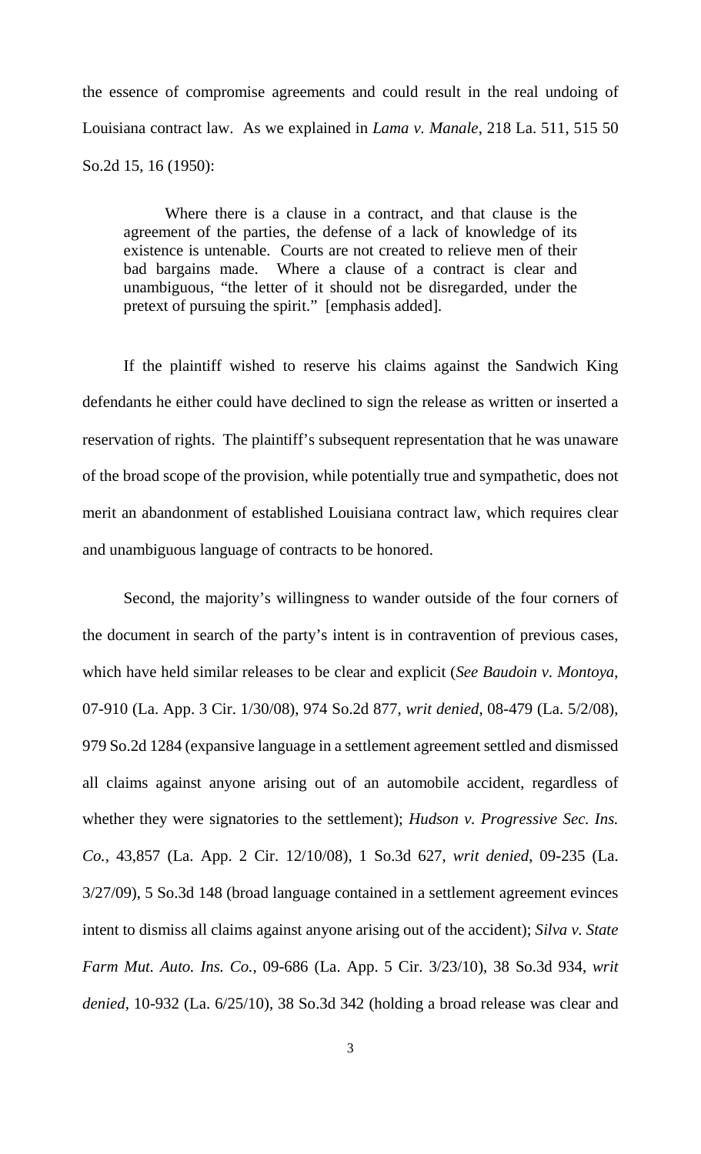the essence of compromise agreements and could result in the real undoing of Louisiana contract law. As we explained in *Lama v. Manale*, 218 La. 511, 515 50 So.2d 15, 16 (1950):

Where there is a clause in a contract, and that clause is the agreement of the parties, the defense of a lack of knowledge of its existence is untenable. Courts are not created to relieve men of their bad bargains made. Where a clause of a contract is clear and unambiguous, "the letter of it should not be disregarded, under the pretext of pursuing the spirit." [emphasis added].

If the plaintiff wished to reserve his claims against the Sandwich King defendants he either could have declined to sign the release as written or inserted a reservation of rights. The plaintiff's subsequent representation that he was unaware of the broad scope of the provision, while potentially true and sympathetic, does not merit an abandonment of established Louisiana contract law, which requires clear and unambiguous language of contracts to be honored.

Second, the majority's willingness to wander outside of the four corners of the document in search of the party's intent is in contravention of previous cases, which have held similar releases to be clear and explicit (*See Baudoin v. Montoya*, 07-910 (La. App. 3 Cir. 1/30/08), 974 So.2d 877, *writ denied*, 08-479 (La. 5/2/08), 979 So.2d 1284 (expansive language in a settlement agreement settled and dismissed all claims against anyone arising out of an automobile accident, regardless of whether they were signatories to the settlement); *Hudson v. Progressive Sec. Ins. Co.*, 43,857 (La. App. 2 Cir. 12/10/08), 1 So.3d 627*, writ denied*, 09-235 (La. 3/27/09), 5 So.3d 148 (broad language contained in a settlement agreement evinces intent to dismiss all claims against anyone arising out of the accident); *Silva v. State Farm Mut. Auto. Ins. Co.*, 09-686 (La. App. 5 Cir. 3/23/10), 38 So.3d 934, *writ denied*, 10-932 (La. 6/25/10), 38 So.3d 342 (holding a broad release was clear and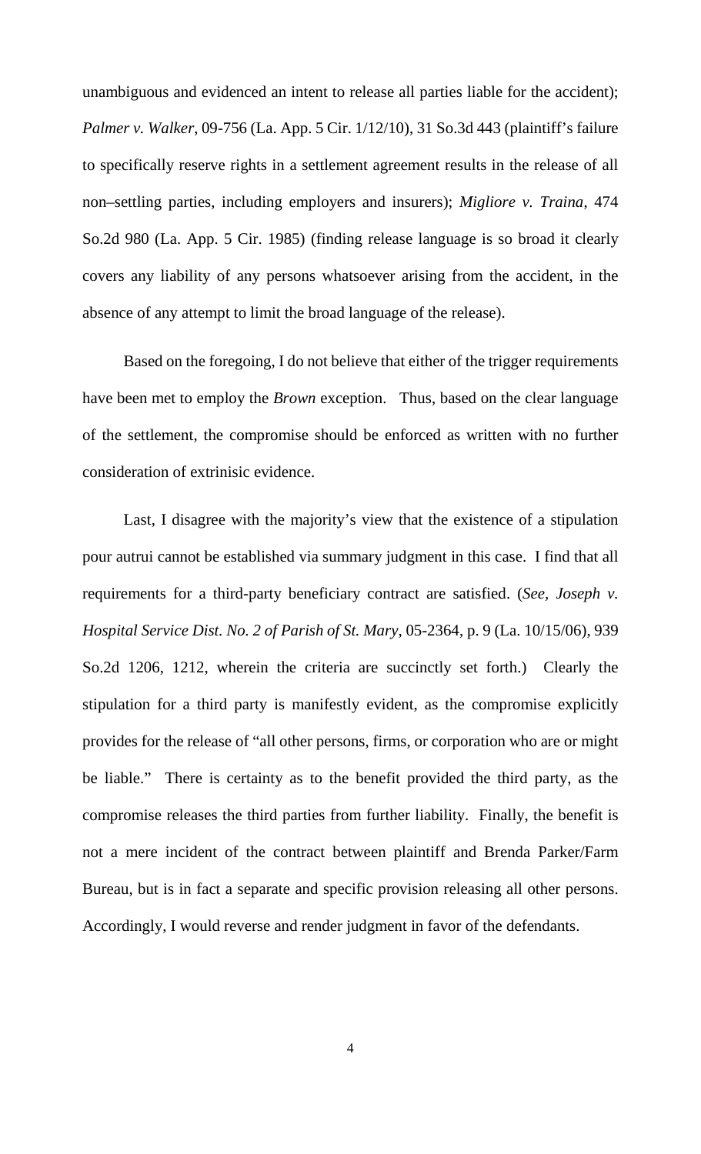unambiguous and evidenced an intent to release all parties liable for the accident); *Palmer v. Walker*, 09-756 (La. App. 5 Cir. 1/12/10), 31 So.3d 443 (plaintiff's failure to specifically reserve rights in a settlement agreement results in the release of all non–settling parties, including employers and insurers); *Migliore v. Traina*, 474 So.2d 980 (La. App. 5 Cir. 1985) (finding release language is so broad it clearly covers any liability of any persons whatsoever arising from the accident, in the absence of any attempt to limit the broad language of the release).

Based on the foregoing, I do not believe that either of the trigger requirements have been met to employ the *Brown* exception. Thus, based on the clear language of the settlement, the compromise should be enforced as written with no further consideration of extrinisic evidence.

Last, I disagree with the majority's view that the existence of a stipulation pour autrui cannot be established via summary judgment in this case. I find that all requirements for a third-party beneficiary contract are satisfied. (*See, Joseph v. Hospital Service Dist. No. 2 of Parish of St. Mary*, 05-2364, p. 9 (La. 10/15/06), 939 So.2d 1206, 1212, wherein the criteria are succinctly set forth.) Clearly the stipulation for a third party is manifestly evident, as the compromise explicitly provides for the release of "all other persons, firms, or corporation who are or might be liable." There is certainty as to the benefit provided the third party, as the compromise releases the third parties from further liability. Finally, the benefit is not a mere incident of the contract between plaintiff and Brenda Parker/Farm Bureau, but is in fact a separate and specific provision releasing all other persons. Accordingly, I would reverse and render judgment in favor of the defendants.